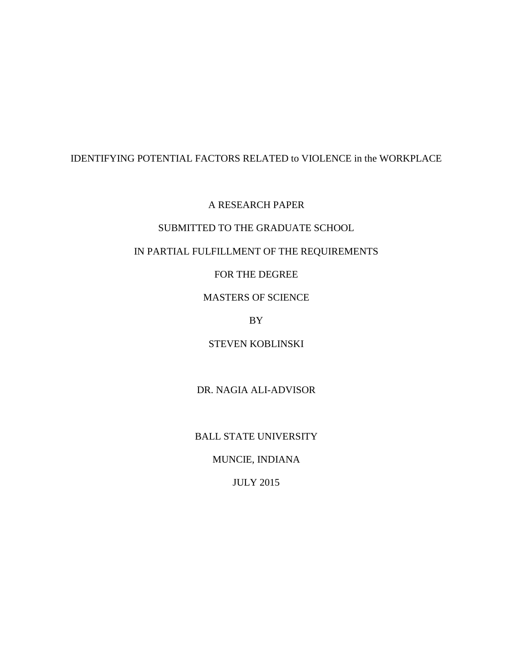# IDENTIFYING POTENTIAL FACTORS RELATED to VIOLENCE in the WORKPLACE

A RESEARCH PAPER

# SUBMITTED TO THE GRADUATE SCHOOL

# IN PARTIAL FULFILLMENT OF THE REQUIREMENTS

# FOR THE DEGREE

# MASTERS OF SCIENCE

# BY

# STEVEN KOBLINSKI

# DR. NAGIA ALI-ADVISOR

# BALL STATE UNIVERSITY

# MUNCIE, INDIANA

# JULY 2015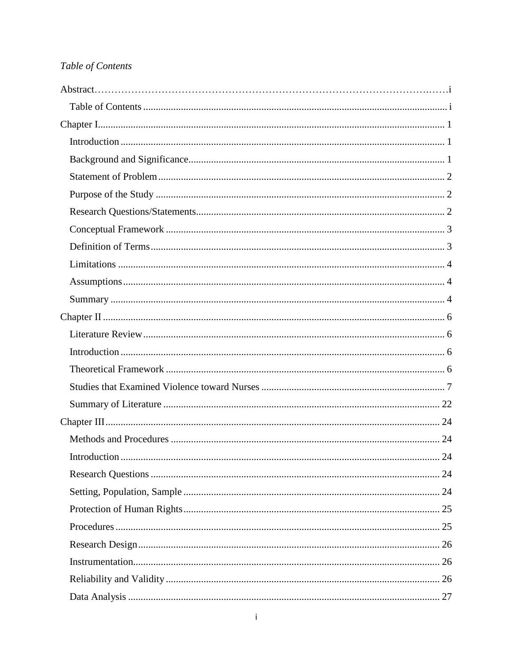# <span id="page-1-0"></span>Table of Contents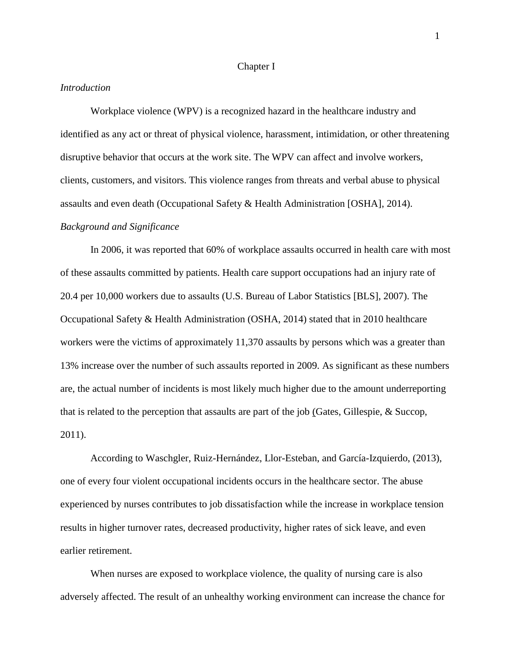#### Chapter I

### <span id="page-3-1"></span><span id="page-3-0"></span>*Introduction*

Workplace violence (WPV) is a recognized hazard in the healthcare industry and identified as any act or threat of physical violence, harassment, intimidation, or other threatening disruptive behavior that occurs at the work site. The WPV can affect and involve workers, clients, customers, and visitors. This violence ranges from threats and verbal abuse to physical assaults and even death (Occupational Safety & Health Administration [OSHA], 2014).

### <span id="page-3-2"></span>*Background and Significance*

In 2006, it was reported that 60% of workplace assaults occurred in health care with most of these assaults committed by patients. Health care support occupations had an injury rate of 20.4 per 10,000 workers due to assaults (U.S. Bureau of Labor Statistics [BLS], 2007). The Occupational Safety & Health Administration (OSHA, 2014) stated that in 2010 healthcare workers were the victims of approximately 11,370 assaults by persons which was a greater than 13% increase over the number of such assaults reported in 2009. As significant as these numbers are, the actual number of incidents is most likely much higher due to the amount underreporting that is related to the perception that assaults are part of the job (Gates, Gillespie, & Succop, 2011).

According to Waschgler, Ruiz-Hernández, Llor-Esteban, and García-Izquierdo, (2013), one of every four violent occupational incidents occurs in the healthcare sector. The abuse experienced by nurses contributes to job dissatisfaction while the increase in workplace tension results in higher turnover rates, decreased productivity, higher rates of sick leave, and even earlier retirement.

When nurses are exposed to workplace violence, the quality of nursing care is also adversely affected. The result of an unhealthy working environment can increase the chance for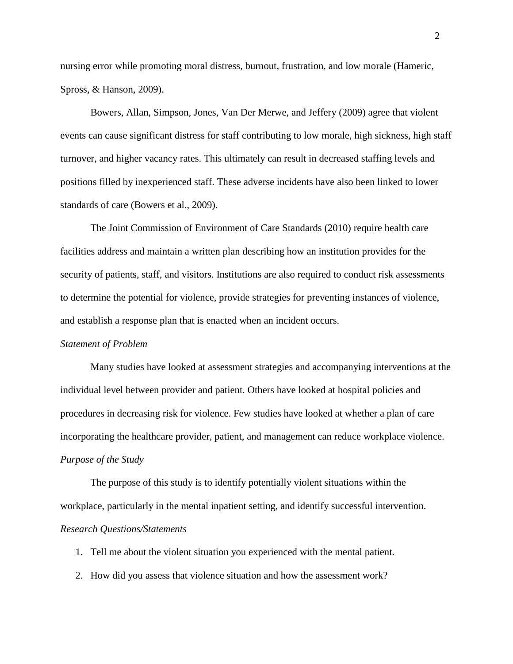nursing error while promoting moral distress, burnout, frustration, and low morale (Hameric, Spross, & Hanson, 2009).

Bowers, Allan, Simpson, Jones, Van Der Merwe, and Jeffery (2009) agree that violent events can cause significant distress for staff contributing to low morale, high sickness, high staff turnover, and higher vacancy rates. This ultimately can result in decreased staffing levels and positions filled by inexperienced staff. These adverse incidents have also been linked to lower standards of care (Bowers et al., 2009).

The Joint Commission of Environment of Care Standards (2010) require health care facilities address and maintain a written plan describing how an institution provides for the security of patients, staff, and visitors. Institutions are also required to conduct risk assessments to determine the potential for violence, provide strategies for preventing instances of violence, and establish a response plan that is enacted when an incident occurs.

#### <span id="page-4-0"></span>*Statement of Problem*

Many studies have looked at assessment strategies and accompanying interventions at the individual level between provider and patient. Others have looked at hospital policies and procedures in decreasing risk for violence. Few studies have looked at whether a plan of care incorporating the healthcare provider, patient, and management can reduce workplace violence. *Purpose of the Study*

<span id="page-4-1"></span>The purpose of this study is to identify potentially violent situations within the workplace, particularly in the mental inpatient setting, and identify successful intervention. *Research Questions/Statements*

<span id="page-4-2"></span>1. Tell me about the violent situation you experienced with the mental patient.

2. How did you assess that violence situation and how the assessment work?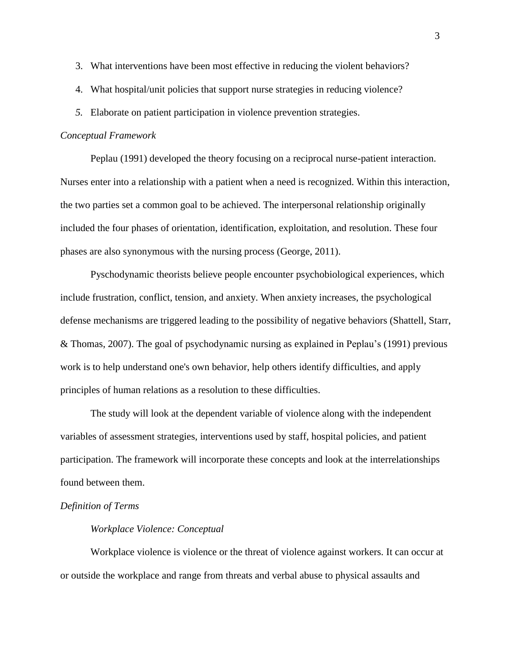- 3. What interventions have been most effective in reducing the violent behaviors?
- 4. What hospital/unit policies that support nurse strategies in reducing violence?
- *5.* Elaborate on patient participation in violence prevention strategies.

#### <span id="page-5-0"></span>*Conceptual Framework*

Peplau (1991) developed the theory focusing on a reciprocal nurse-patient interaction. Nurses enter into a relationship with a patient when a need is recognized. Within this interaction, the two parties set a common goal to be achieved. The interpersonal relationship originally included the four phases of orientation, identification, exploitation, and resolution. These four phases are also synonymous with the nursing process (George, 2011).

Pyschodynamic theorists believe people encounter psychobiological experiences, which include frustration, conflict, tension, and anxiety. When anxiety increases, the psychological defense mechanisms are triggered leading to the possibility of negative behaviors (Shattell, Starr, & Thomas, 2007). The goal of psychodynamic nursing as explained in Peplau's (1991) previous work is to help understand one's own behavior, help others identify difficulties, and apply principles of human relations as a resolution to these difficulties.

The study will look at the dependent variable of violence along with the independent variables of assessment strategies, interventions used by staff, hospital policies, and patient participation. The framework will incorporate these concepts and look at the interrelationships found between them.

#### <span id="page-5-1"></span>*Definition of Terms*

#### *Workplace Violence: Conceptual*

Workplace violence is violence or the threat of violence against workers. It can occur at or outside the workplace and range from threats and verbal abuse to physical assaults and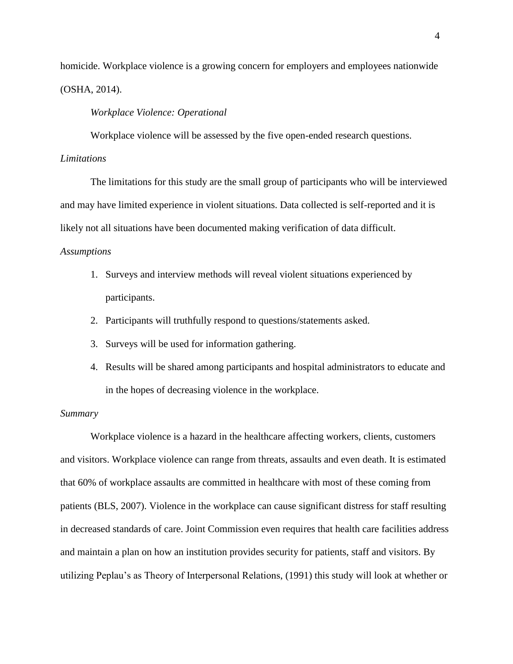homicide. Workplace violence is a growing concern for employers and employees nationwide (OSHA, 2014).

### *Workplace Violence: Operational*

Workplace violence will be assessed by the five open-ended research questions.

### <span id="page-6-0"></span>*Limitations*

The limitations for this study are the small group of participants who will be interviewed and may have limited experience in violent situations. Data collected is self-reported and it is likely not all situations have been documented making verification of data difficult.

### <span id="page-6-1"></span>*Assumptions*

- 1. Surveys and interview methods will reveal violent situations experienced by participants.
- 2. Participants will truthfully respond to questions/statements asked.
- 3. Surveys will be used for information gathering.
- 4. Results will be shared among participants and hospital administrators to educate and in the hopes of decreasing violence in the workplace.

#### <span id="page-6-2"></span>*Summary*

Workplace violence is a hazard in the healthcare affecting workers, clients, customers and visitors. Workplace violence can range from threats, assaults and even death. It is estimated that 60% of workplace assaults are committed in healthcare with most of these coming from patients (BLS, 2007). Violence in the workplace can cause significant distress for staff resulting in decreased standards of care. Joint Commission even requires that health care facilities address and maintain a plan on how an institution provides security for patients, staff and visitors. By utilizing Peplau's as Theory of Interpersonal Relations, (1991) this study will look at whether or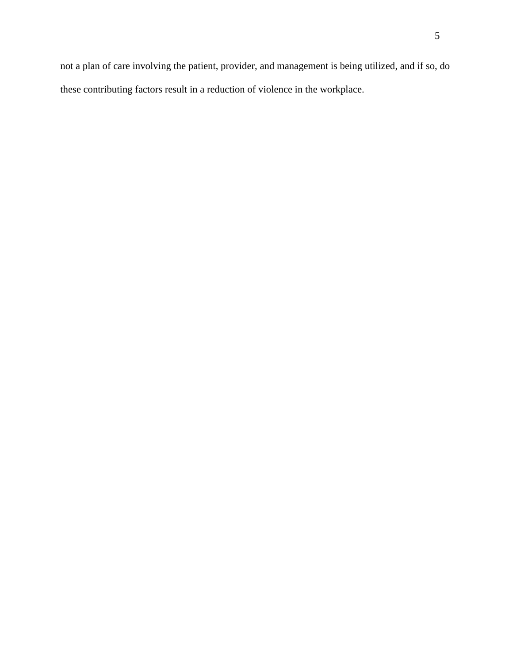<span id="page-7-0"></span>not a plan of care involving the patient, provider, and management is being utilized, and if so, do these contributing factors result in a reduction of violence in the workplace.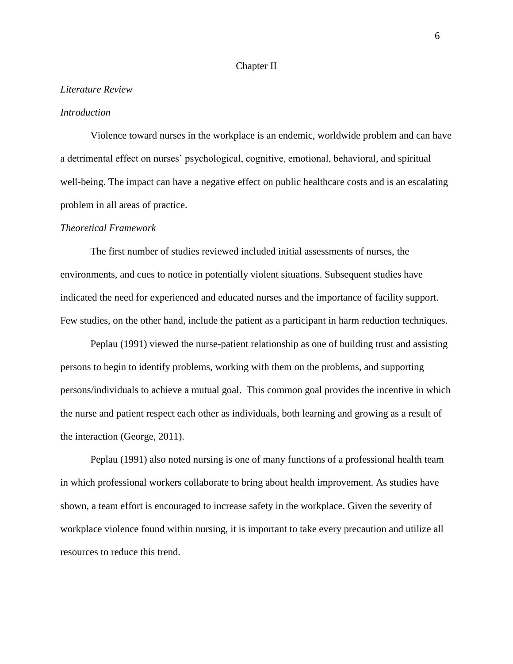#### Chapter II

#### <span id="page-8-0"></span>*Literature Review*

### <span id="page-8-1"></span>*Introduction*

Violence toward nurses in the workplace is an endemic, worldwide problem and can have a detrimental effect on nurses' psychological, cognitive, emotional, behavioral, and spiritual well-being. The impact can have a negative effect on public healthcare costs and is an escalating problem in all areas of practice.

#### <span id="page-8-2"></span>*Theoretical Framework*

The first number of studies reviewed included initial assessments of nurses, the environments, and cues to notice in potentially violent situations. Subsequent studies have indicated the need for experienced and educated nurses and the importance of facility support. Few studies, on the other hand, include the patient as a participant in harm reduction techniques.

Peplau (1991) viewed the nurse-patient relationship as one of building trust and assisting persons to begin to identify problems, working with them on the problems, and supporting persons/individuals to achieve a mutual goal. This common goal provides the incentive in which the nurse and patient respect each other as individuals, both learning and growing as a result of the interaction (George, 2011).

Peplau (1991) also noted nursing is one of many functions of a professional health team in which professional workers collaborate to bring about health improvement. As studies have shown, a team effort is encouraged to increase safety in the workplace. Given the severity of workplace violence found within nursing, it is important to take every precaution and utilize all resources to reduce this trend.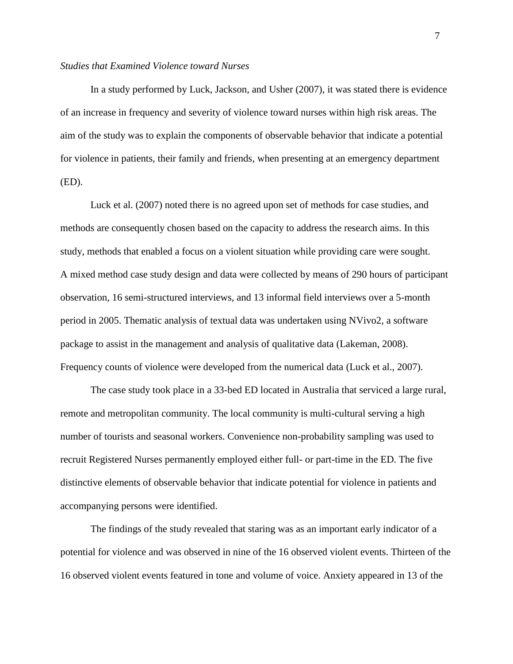### <span id="page-9-0"></span>*Studies that Examined Violence toward Nurses*

In a study performed by Luck, Jackson, and Usher (2007), it was stated there is evidence of an increase in frequency and severity of violence toward nurses within high risk areas. The aim of the study was to explain the components of observable behavior that indicate a potential for violence in patients, their family and friends, when presenting at an emergency department (ED).

Luck et al. (2007) noted there is no agreed upon set of methods for case studies, and methods are consequently chosen based on the capacity to address the research aims. In this study, methods that enabled a focus on a violent situation while providing care were sought. A mixed method case study design and data were collected by means of 290 hours of participant observation, 16 semi-structured interviews, and 13 informal field interviews over a 5-month period in 2005. Thematic analysis of textual data was undertaken using NVivo2, a software package to assist in the management and analysis of qualitative data (Lakeman, 2008). Frequency counts of violence were developed from the numerical data (Luck et al., 2007).

The case study took place in a 33-bed ED located in Australia that serviced a large rural, remote and metropolitan community. The local community is multi-cultural serving a high number of tourists and seasonal workers. Convenience non-probability sampling was used to recruit Registered Nurses permanently employed either full- or part-time in the ED. The five distinctive elements of observable behavior that indicate potential for violence in patients and accompanying persons were identified.

The findings of the study revealed that staring was as an important early indicator of a potential for violence and was observed in nine of the 16 observed violent events. Thirteen of the 16 observed violent events featured in tone and volume of voice. Anxiety appeared in 13 of the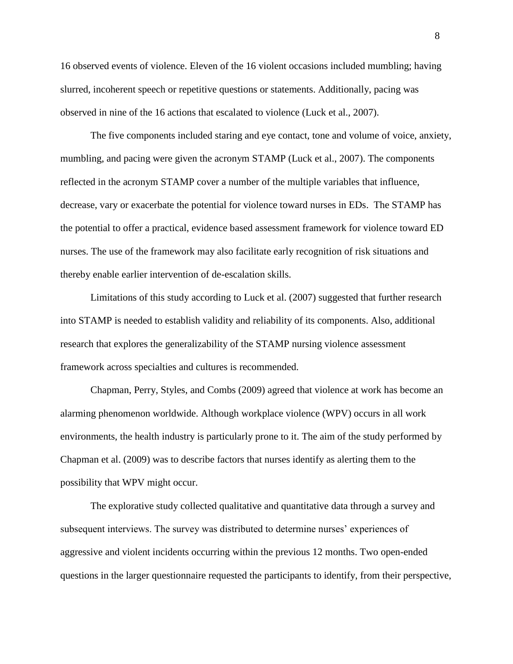16 observed events of violence. Eleven of the 16 violent occasions included mumbling; having slurred, incoherent speech or repetitive questions or statements. Additionally, pacing was observed in nine of the 16 actions that escalated to violence (Luck et al., 2007).

The five components included staring and eye contact, tone and volume of voice, anxiety, mumbling, and pacing were given the acronym STAMP (Luck et al., 2007). The components reflected in the acronym STAMP cover a number of the multiple variables that influence, decrease, vary or exacerbate the potential for violence toward nurses in EDs. The STAMP has the potential to offer a practical, evidence based assessment framework for violence toward ED nurses. The use of the framework may also facilitate early recognition of risk situations and thereby enable earlier intervention of de-escalation skills.

Limitations of this study according to Luck et al. (2007) suggested that further research into STAMP is needed to establish validity and reliability of its components. Also, additional research that explores the generalizability of the STAMP nursing violence assessment framework across specialties and cultures is recommended.

Chapman, Perry, Styles, and Combs (2009) agreed that violence at work has become an alarming phenomenon worldwide. Although workplace violence (WPV) occurs in all work environments, the health industry is particularly prone to it. The aim of the study performed by Chapman et al. (2009) was to describe factors that nurses identify as alerting them to the possibility that WPV might occur.

The explorative study collected qualitative and quantitative data through a survey and subsequent interviews. The survey was distributed to determine nurses' experiences of aggressive and violent incidents occurring within the previous 12 months. Two open-ended questions in the larger questionnaire requested the participants to identify, from their perspective,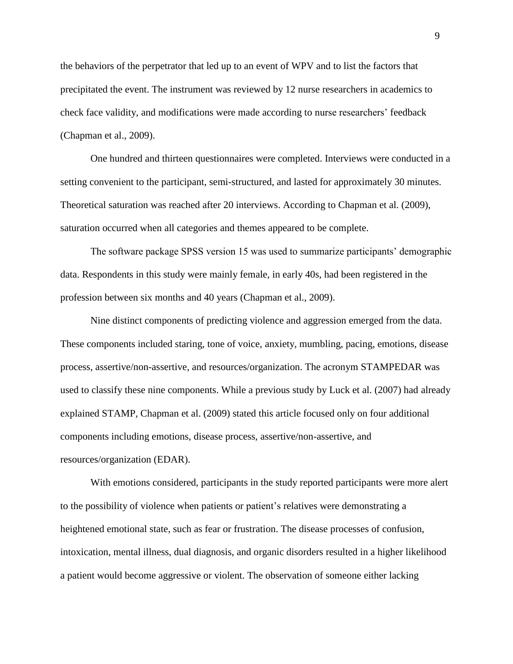the behaviors of the perpetrator that led up to an event of WPV and to list the factors that precipitated the event. The instrument was reviewed by 12 nurse researchers in academics to check face validity, and modifications were made according to nurse researchers' feedback (Chapman et al., 2009).

One hundred and thirteen questionnaires were completed. Interviews were conducted in a setting convenient to the participant, semi-structured, and lasted for approximately 30 minutes. Theoretical saturation was reached after 20 interviews. According to Chapman et al. (2009), saturation occurred when all categories and themes appeared to be complete.

The software package SPSS version 15 was used to summarize participants' demographic data. Respondents in this study were mainly female, in early 40s, had been registered in the profession between six months and 40 years (Chapman et al., 2009).

Nine distinct components of predicting violence and aggression emerged from the data. These components included staring, tone of voice, anxiety, mumbling, pacing, emotions, disease process, assertive/non-assertive, and resources/organization. The acronym STAMPEDAR was used to classify these nine components. While a previous study by Luck et al. (2007) had already explained STAMP, Chapman et al. (2009) stated this article focused only on four additional components including emotions, disease process, assertive/non-assertive, and resources/organization (EDAR).

With emotions considered, participants in the study reported participants were more alert to the possibility of violence when patients or patient's relatives were demonstrating a heightened emotional state, such as fear or frustration. The disease processes of confusion, intoxication, mental illness, dual diagnosis, and organic disorders resulted in a higher likelihood a patient would become aggressive or violent. The observation of someone either lacking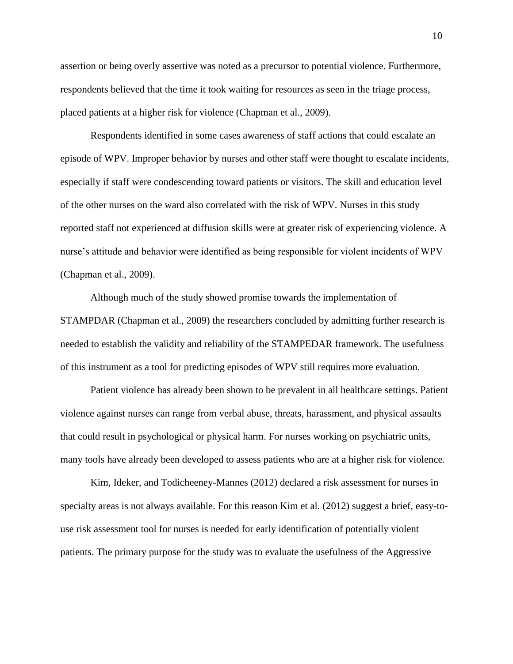assertion or being overly assertive was noted as a precursor to potential violence. Furthermore, respondents believed that the time it took waiting for resources as seen in the triage process, placed patients at a higher risk for violence (Chapman et al., 2009).

Respondents identified in some cases awareness of staff actions that could escalate an episode of WPV. Improper behavior by nurses and other staff were thought to escalate incidents, especially if staff were condescending toward patients or visitors. The skill and education level of the other nurses on the ward also correlated with the risk of WPV. Nurses in this study reported staff not experienced at diffusion skills were at greater risk of experiencing violence. A nurse's attitude and behavior were identified as being responsible for violent incidents of WPV (Chapman et al., 2009).

Although much of the study showed promise towards the implementation of STAMPDAR (Chapman et al., 2009) the researchers concluded by admitting further research is needed to establish the validity and reliability of the STAMPEDAR framework. The usefulness of this instrument as a tool for predicting episodes of WPV still requires more evaluation.

Patient violence has already been shown to be prevalent in all healthcare settings. Patient violence against nurses can range from verbal abuse, threats, harassment, and physical assaults that could result in psychological or physical harm. For nurses working on psychiatric units, many tools have already been developed to assess patients who are at a higher risk for violence.

Kim, Ideker, and Todicheeney-Mannes (2012) declared a risk assessment for nurses in specialty areas is not always available. For this reason Kim et al. (2012) suggest a brief, easy-touse risk assessment tool for nurses is needed for early identification of potentially violent patients. The primary purpose for the study was to evaluate the usefulness of the Aggressive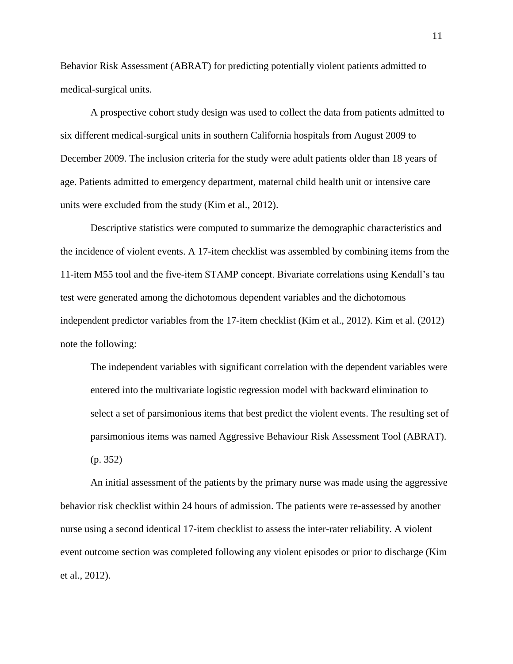Behavior Risk Assessment (ABRAT) for predicting potentially violent patients admitted to medical-surgical units.

A prospective cohort study design was used to collect the data from patients admitted to six different medical-surgical units in southern California hospitals from August 2009 to December 2009. The inclusion criteria for the study were adult patients older than 18 years of age. Patients admitted to emergency department, maternal child health unit or intensive care units were excluded from the study (Kim et al., 2012).

Descriptive statistics were computed to summarize the demographic characteristics and the incidence of violent events. A 17-item checklist was assembled by combining items from the 11-item M55 tool and the five-item STAMP concept. Bivariate correlations using Kendall's tau test were generated among the dichotomous dependent variables and the dichotomous independent predictor variables from the 17-item checklist (Kim et al., 2012). Kim et al. (2012) note the following:

The independent variables with significant correlation with the dependent variables were entered into the multivariate logistic regression model with backward elimination to select a set of parsimonious items that best predict the violent events. The resulting set of parsimonious items was named Aggressive Behaviour Risk Assessment Tool (ABRAT). (p. 352)

An initial assessment of the patients by the primary nurse was made using the aggressive behavior risk checklist within 24 hours of admission. The patients were re-assessed by another nurse using a second identical 17-item checklist to assess the inter-rater reliability. A violent event outcome section was completed following any violent episodes or prior to discharge (Kim et al., 2012).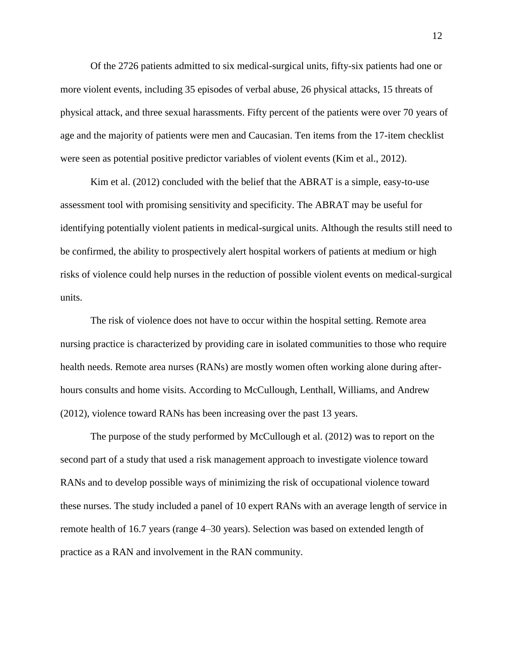Of the 2726 patients admitted to six medical-surgical units, fifty-six patients had one or more violent events, including 35 episodes of verbal abuse, 26 physical attacks, 15 threats of physical attack, and three sexual harassments. Fifty percent of the patients were over 70 years of age and the majority of patients were men and Caucasian. Ten items from the 17-item checklist were seen as potential positive predictor variables of violent events (Kim et al., 2012).

Kim et al. (2012) concluded with the belief that the ABRAT is a simple, easy-to-use assessment tool with promising sensitivity and specificity. The ABRAT may be useful for identifying potentially violent patients in medical-surgical units. Although the results still need to be confirmed, the ability to prospectively alert hospital workers of patients at medium or high risks of violence could help nurses in the reduction of possible violent events on medical-surgical units.

The risk of violence does not have to occur within the hospital setting. Remote area nursing practice is characterized by providing care in isolated communities to those who require health needs. Remote area nurses (RANs) are mostly women often working alone during afterhours consults and home visits. According to McCullough, Lenthall, Williams, and Andrew (2012), violence toward RANs has been increasing over the past 13 years.

The purpose of the study performed by McCullough et al. (2012) was to report on the second part of a study that used a risk management approach to investigate violence toward RANs and to develop possible ways of minimizing the risk of occupational violence toward these nurses. The study included a panel of 10 expert RANs with an average length of service in remote health of 16.7 years (range 4–30 years). Selection was based on extended length of practice as a RAN and involvement in the RAN community.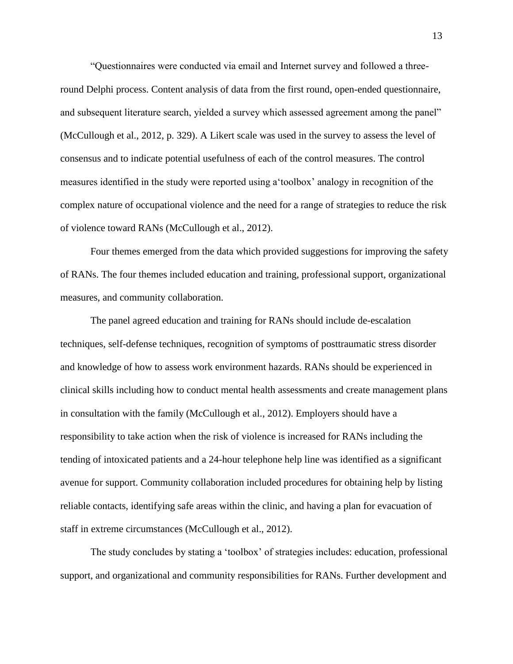"Questionnaires were conducted via email and Internet survey and followed a threeround Delphi process. Content analysis of data from the first round, open-ended questionnaire, and subsequent literature search, yielded a survey which assessed agreement among the panel" (McCullough et al., 2012, p. 329). A Likert scale was used in the survey to assess the level of consensus and to indicate potential usefulness of each of the control measures. The control measures identified in the study were reported using a'toolbox' analogy in recognition of the complex nature of occupational violence and the need for a range of strategies to reduce the risk of violence toward RANs (McCullough et al., 2012).

Four themes emerged from the data which provided suggestions for improving the safety of RANs. The four themes included education and training, professional support, organizational measures, and community collaboration.

The panel agreed education and training for RANs should include de-escalation techniques, self-defense techniques, recognition of symptoms of posttraumatic stress disorder and knowledge of how to assess work environment hazards. RANs should be experienced in clinical skills including how to conduct mental health assessments and create management plans in consultation with the family (McCullough et al., 2012). Employers should have a responsibility to take action when the risk of violence is increased for RANs including the tending of intoxicated patients and a 24-hour telephone help line was identified as a significant avenue for support. Community collaboration included procedures for obtaining help by listing reliable contacts, identifying safe areas within the clinic, and having a plan for evacuation of staff in extreme circumstances (McCullough et al., 2012).

The study concludes by stating a 'toolbox' of strategies includes: education, professional support, and organizational and community responsibilities for RANs. Further development and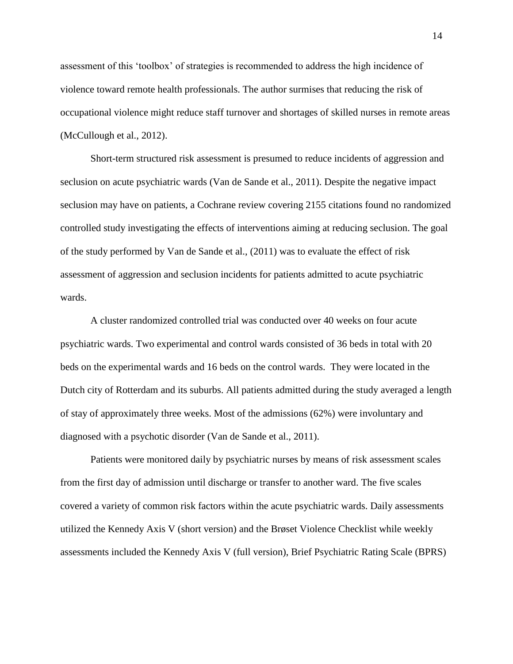assessment of this 'toolbox' of strategies is recommended to address the high incidence of violence toward remote health professionals. The author surmises that reducing the risk of occupational violence might reduce staff turnover and shortages of skilled nurses in remote areas (McCullough et al., 2012).

Short-term structured risk assessment is presumed to reduce incidents of aggression and seclusion on acute psychiatric wards (Van de Sande et al., 2011). Despite the negative impact seclusion may have on patients, a Cochrane review covering 2155 citations found no randomized controlled study investigating the effects of interventions aiming at reducing seclusion. The goal of the study performed by Van de Sande et al., (2011) was to evaluate the effect of risk assessment of aggression and seclusion incidents for patients admitted to acute psychiatric wards.

A cluster randomized controlled trial was conducted over 40 weeks on four acute psychiatric wards. Two experimental and control wards consisted of 36 beds in total with 20 beds on the experimental wards and 16 beds on the control wards. They were located in the Dutch city of Rotterdam and its suburbs. All patients admitted during the study averaged a length of stay of approximately three weeks. Most of the admissions (62%) were involuntary and diagnosed with a psychotic disorder (Van de Sande et al., 2011).

Patients were monitored daily by psychiatric nurses by means of risk assessment scales from the first day of admission until discharge or transfer to another ward. The five scales covered a variety of common risk factors within the acute psychiatric wards. Daily assessments utilized the Kennedy Axis V (short version) and the Brøset Violence Checklist while weekly assessments included the Kennedy Axis V (full version), Brief Psychiatric Rating Scale (BPRS)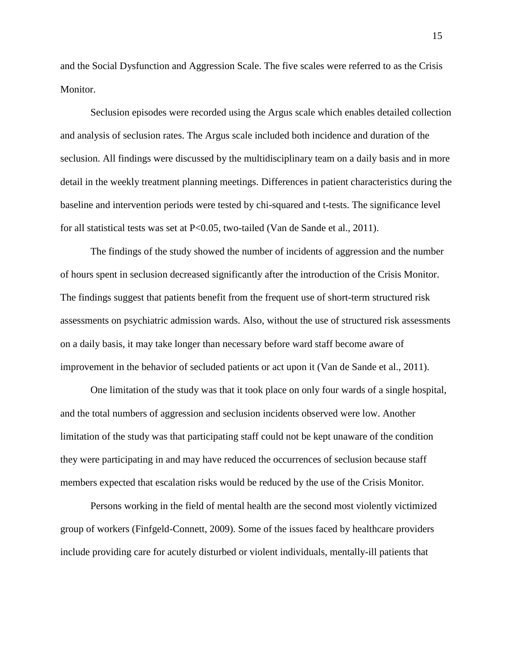and the Social Dysfunction and Aggression Scale. The five scales were referred to as the Crisis Monitor.

Seclusion episodes were recorded using the Argus scale which enables detailed collection and analysis of seclusion rates. The Argus scale included both incidence and duration of the seclusion. All findings were discussed by the multidisciplinary team on a daily basis and in more detail in the weekly treatment planning meetings. Differences in patient characteristics during the baseline and intervention periods were tested by chi-squared and t-tests. The significance level for all statistical tests was set at P<0.05, two-tailed (Van de Sande et al., 2011).

The findings of the study showed the number of incidents of aggression and the number of hours spent in seclusion decreased significantly after the introduction of the Crisis Monitor. The findings suggest that patients benefit from the frequent use of short-term structured risk assessments on psychiatric admission wards. Also, without the use of structured risk assessments on a daily basis, it may take longer than necessary before ward staff become aware of improvement in the behavior of secluded patients or act upon it (Van de Sande et al., 2011).

One limitation of the study was that it took place on only four wards of a single hospital, and the total numbers of aggression and seclusion incidents observed were low. Another limitation of the study was that participating staff could not be kept unaware of the condition they were participating in and may have reduced the occurrences of seclusion because staff members expected that escalation risks would be reduced by the use of the Crisis Monitor.

Persons working in the field of mental health are the second most violently victimized group of workers (Finfgeld-Connett, 2009). Some of the issues faced by healthcare providers include providing care for acutely disturbed or violent individuals, mentally-ill patients that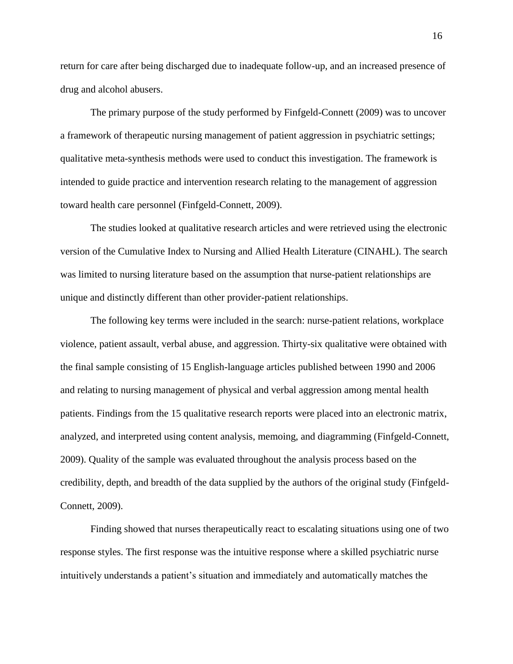return for care after being discharged due to inadequate follow-up, and an increased presence of drug and alcohol abusers.

The primary purpose of the study performed by Finfgeld-Connett (2009) was to uncover a framework of therapeutic nursing management of patient aggression in psychiatric settings; qualitative meta-synthesis methods were used to conduct this investigation. The framework is intended to guide practice and intervention research relating to the management of aggression toward health care personnel (Finfgeld-Connett, 2009).

The studies looked at qualitative research articles and were retrieved using the electronic version of the Cumulative Index to Nursing and Allied Health Literature (CINAHL). The search was limited to nursing literature based on the assumption that nurse-patient relationships are unique and distinctly different than other provider-patient relationships.

The following key terms were included in the search: nurse-patient relations, workplace violence, patient assault, verbal abuse, and aggression. Thirty-six qualitative were obtained with the final sample consisting of 15 English-language articles published between 1990 and 2006 and relating to nursing management of physical and verbal aggression among mental health patients. Findings from the 15 qualitative research reports were placed into an electronic matrix, analyzed, and interpreted using content analysis, memoing, and diagramming (Finfgeld-Connett, 2009). Quality of the sample was evaluated throughout the analysis process based on the credibility, depth, and breadth of the data supplied by the authors of the original study (Finfgeld-Connett, 2009).

Finding showed that nurses therapeutically react to escalating situations using one of two response styles. The first response was the intuitive response where a skilled psychiatric nurse intuitively understands a patient's situation and immediately and automatically matches the

16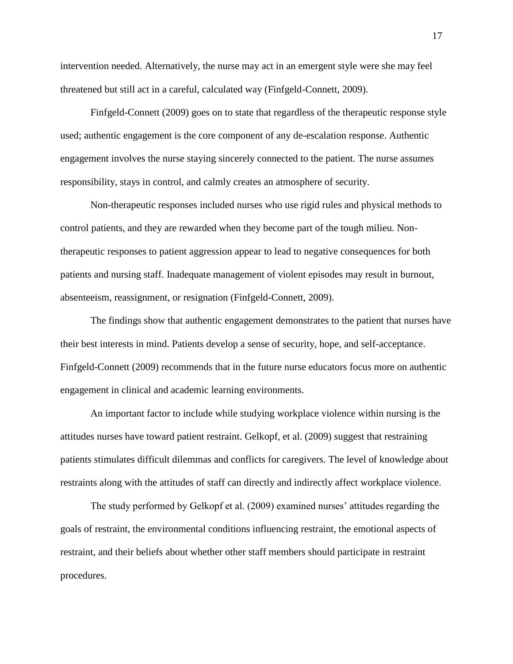intervention needed. Alternatively, the nurse may act in an emergent style were she may feel threatened but still act in a careful, calculated way (Finfgeld-Connett, 2009).

Finfgeld-Connett (2009) goes on to state that regardless of the therapeutic response style used; authentic engagement is the core component of any de-escalation response. Authentic engagement involves the nurse staying sincerely connected to the patient. The nurse assumes responsibility, stays in control, and calmly creates an atmosphere of security.

Non-therapeutic responses included nurses who use rigid rules and physical methods to control patients, and they are rewarded when they become part of the tough milieu. Nontherapeutic responses to patient aggression appear to lead to negative consequences for both patients and nursing staff. Inadequate management of violent episodes may result in burnout, absenteeism, reassignment, or resignation (Finfgeld-Connett, 2009).

The findings show that authentic engagement demonstrates to the patient that nurses have their best interests in mind. Patients develop a sense of security, hope, and self-acceptance. Finfgeld-Connett (2009) recommends that in the future nurse educators focus more on authentic engagement in clinical and academic learning environments.

An important factor to include while studying workplace violence within nursing is the attitudes nurses have toward patient restraint. Gelkopf, et al. (2009) suggest that restraining patients stimulates difficult dilemmas and conflicts for caregivers. The level of knowledge about restraints along with the attitudes of staff can directly and indirectly affect workplace violence.

The study performed by Gelkopf et al. (2009) examined nurses' attitudes regarding the goals of restraint, the environmental conditions influencing restraint, the emotional aspects of restraint, and their beliefs about whether other staff members should participate in restraint procedures.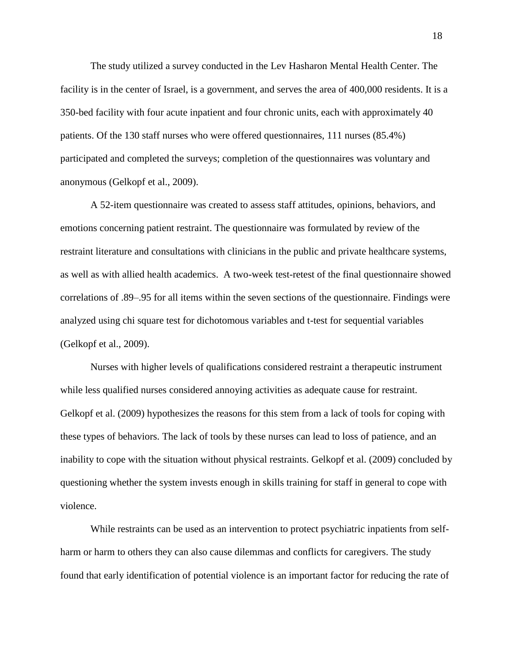The study utilized a survey conducted in the Lev Hasharon Mental Health Center. The facility is in the center of Israel, is a government, and serves the area of 400,000 residents. It is a 350-bed facility with four acute inpatient and four chronic units, each with approximately 40 patients. Of the 130 staff nurses who were offered questionnaires, 111 nurses (85.4%) participated and completed the surveys; completion of the questionnaires was voluntary and anonymous (Gelkopf et al., 2009).

A 52-item questionnaire was created to assess staff attitudes, opinions, behaviors, and emotions concerning patient restraint. The questionnaire was formulated by review of the restraint literature and consultations with clinicians in the public and private healthcare systems, as well as with allied health academics. A two-week test-retest of the final questionnaire showed correlations of .89–.95 for all items within the seven sections of the questionnaire. Findings were analyzed using chi square test for dichotomous variables and t-test for sequential variables (Gelkopf et al., 2009).

Nurses with higher levels of qualifications considered restraint a therapeutic instrument while less qualified nurses considered annoying activities as adequate cause for restraint. Gelkopf et al. (2009) hypothesizes the reasons for this stem from a lack of tools for coping with these types of behaviors. The lack of tools by these nurses can lead to loss of patience, and an inability to cope with the situation without physical restraints. Gelkopf et al. (2009) concluded by questioning whether the system invests enough in skills training for staff in general to cope with violence.

While restraints can be used as an intervention to protect psychiatric inpatients from selfharm or harm to others they can also cause dilemmas and conflicts for caregivers. The study found that early identification of potential violence is an important factor for reducing the rate of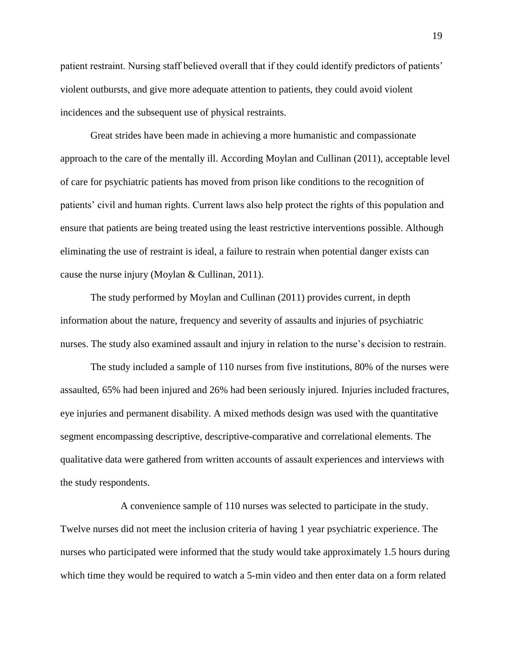patient restraint. Nursing staff believed overall that if they could identify predictors of patients' violent outbursts, and give more adequate attention to patients, they could avoid violent incidences and the subsequent use of physical restraints.

Great strides have been made in achieving a more humanistic and compassionate approach to the care of the mentally ill. According Moylan and Cullinan (2011), acceptable level of care for psychiatric patients has moved from prison like conditions to the recognition of patients' civil and human rights. Current laws also help protect the rights of this population and ensure that patients are being treated using the least restrictive interventions possible. Although eliminating the use of restraint is ideal, a failure to restrain when potential danger exists can cause the nurse injury (Moylan & Cullinan, 2011).

The study performed by Moylan and Cullinan (2011) provides current, in depth information about the nature, frequency and severity of assaults and injuries of psychiatric nurses. The study also examined assault and injury in relation to the nurse's decision to restrain.

The study included a sample of 110 nurses from five institutions, 80% of the nurses were assaulted, 65% had been injured and 26% had been seriously injured. Injuries included fractures, eye injuries and permanent disability. A mixed methods design was used with the quantitative segment encompassing descriptive, descriptive-comparative and correlational elements. The qualitative data were gathered from written accounts of assault experiences and interviews with the study respondents.

A convenience sample of 110 nurses was selected to participate in the study. Twelve nurses did not meet the inclusion criteria of having 1 year psychiatric experience. The nurses who participated were informed that the study would take approximately 1.5 hours during which time they would be required to watch a 5-min video and then enter data on a form related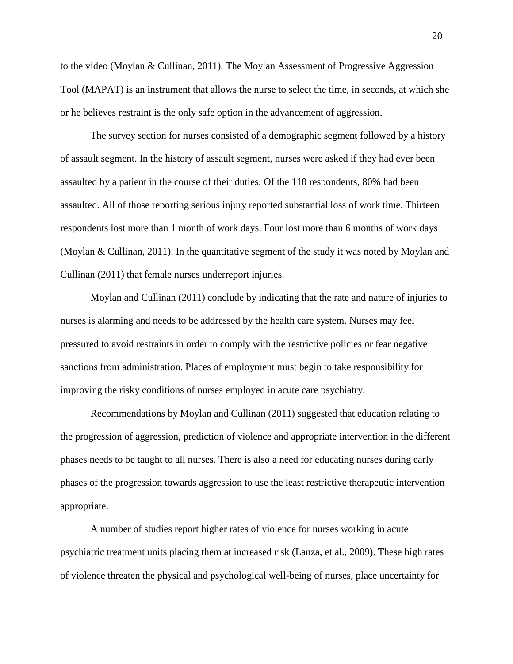to the video (Moylan & Cullinan, 2011). The Moylan Assessment of Progressive Aggression Tool (MAPAT) is an instrument that allows the nurse to select the time, in seconds, at which she or he believes restraint is the only safe option in the advancement of aggression.

The survey section for nurses consisted of a demographic segment followed by a history of assault segment. In the history of assault segment, nurses were asked if they had ever been assaulted by a patient in the course of their duties. Of the 110 respondents, 80% had been assaulted. All of those reporting serious injury reported substantial loss of work time. Thirteen respondents lost more than 1 month of work days. Four lost more than 6 months of work days (Moylan & Cullinan, 2011). In the quantitative segment of the study it was noted by Moylan and Cullinan (2011) that female nurses underreport injuries.

Moylan and Cullinan (2011) conclude by indicating that the rate and nature of injuries to nurses is alarming and needs to be addressed by the health care system. Nurses may feel pressured to avoid restraints in order to comply with the restrictive policies or fear negative sanctions from administration. Places of employment must begin to take responsibility for improving the risky conditions of nurses employed in acute care psychiatry.

Recommendations by Moylan and Cullinan (2011) suggested that education relating to the progression of aggression, prediction of violence and appropriate intervention in the different phases needs to be taught to all nurses. There is also a need for educating nurses during early phases of the progression towards aggression to use the least restrictive therapeutic intervention appropriate.

A number of studies report higher rates of violence for nurses working in acute psychiatric treatment units placing them at increased risk (Lanza, et al., 2009). These high rates of violence threaten the physical and psychological well-being of nurses, place uncertainty for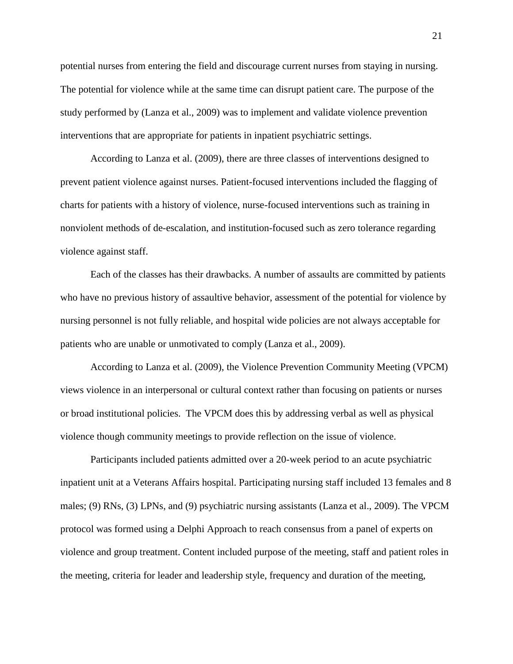potential nurses from entering the field and discourage current nurses from staying in nursing. The potential for violence while at the same time can disrupt patient care. The purpose of the study performed by (Lanza et al., 2009) was to implement and validate violence prevention interventions that are appropriate for patients in inpatient psychiatric settings.

According to Lanza et al. (2009), there are three classes of interventions designed to prevent patient violence against nurses. Patient-focused interventions included the flagging of charts for patients with a history of violence, nurse-focused interventions such as training in nonviolent methods of de-escalation, and institution-focused such as zero tolerance regarding violence against staff.

Each of the classes has their drawbacks. A number of assaults are committed by patients who have no previous history of assaultive behavior, assessment of the potential for violence by nursing personnel is not fully reliable, and hospital wide policies are not always acceptable for patients who are unable or unmotivated to comply (Lanza et al., 2009).

According to Lanza et al. (2009), the Violence Prevention Community Meeting (VPCM) views violence in an interpersonal or cultural context rather than focusing on patients or nurses or broad institutional policies. The VPCM does this by addressing verbal as well as physical violence though community meetings to provide reflection on the issue of violence.

Participants included patients admitted over a 20-week period to an acute psychiatric inpatient unit at a Veterans Affairs hospital. Participating nursing staff included 13 females and 8 males; (9) RNs, (3) LPNs, and (9) psychiatric nursing assistants (Lanza et al., 2009). The VPCM protocol was formed using a Delphi Approach to reach consensus from a panel of experts on violence and group treatment. Content included purpose of the meeting, staff and patient roles in the meeting, criteria for leader and leadership style, frequency and duration of the meeting,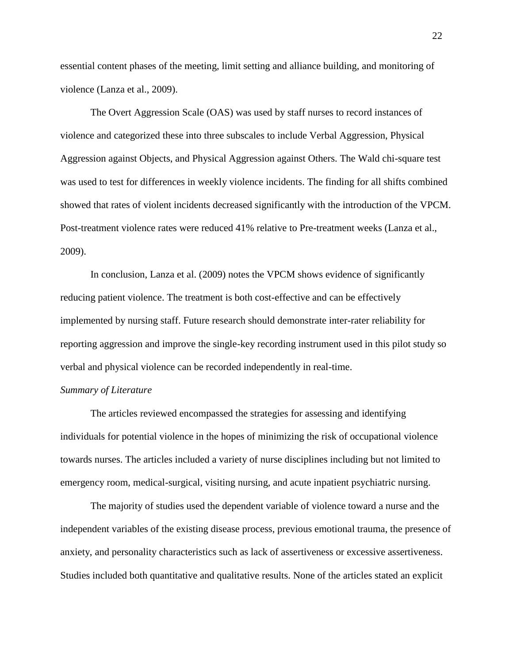essential content phases of the meeting, limit setting and alliance building, and monitoring of violence (Lanza et al., 2009).

The Overt Aggression Scale (OAS) was used by staff nurses to record instances of violence and categorized these into three subscales to include Verbal Aggression, Physical Aggression against Objects, and Physical Aggression against Others. The Wald chi-square test was used to test for differences in weekly violence incidents. The finding for all shifts combined showed that rates of violent incidents decreased significantly with the introduction of the VPCM. Post-treatment violence rates were reduced 41% relative to Pre-treatment weeks (Lanza et al., 2009).

In conclusion, Lanza et al. (2009) notes the VPCM shows evidence of significantly reducing patient violence. The treatment is both cost-effective and can be effectively implemented by nursing staff. Future research should demonstrate inter-rater reliability for reporting aggression and improve the single-key recording instrument used in this pilot study so verbal and physical violence can be recorded independently in real-time.

### <span id="page-24-0"></span>*Summary of Literature*

The articles reviewed encompassed the strategies for assessing and identifying individuals for potential violence in the hopes of minimizing the risk of occupational violence towards nurses. The articles included a variety of nurse disciplines including but not limited to emergency room, medical-surgical, visiting nursing, and acute inpatient psychiatric nursing.

The majority of studies used the dependent variable of violence toward a nurse and the independent variables of the existing disease process, previous emotional trauma, the presence of anxiety, and personality characteristics such as lack of assertiveness or excessive assertiveness. Studies included both quantitative and qualitative results. None of the articles stated an explicit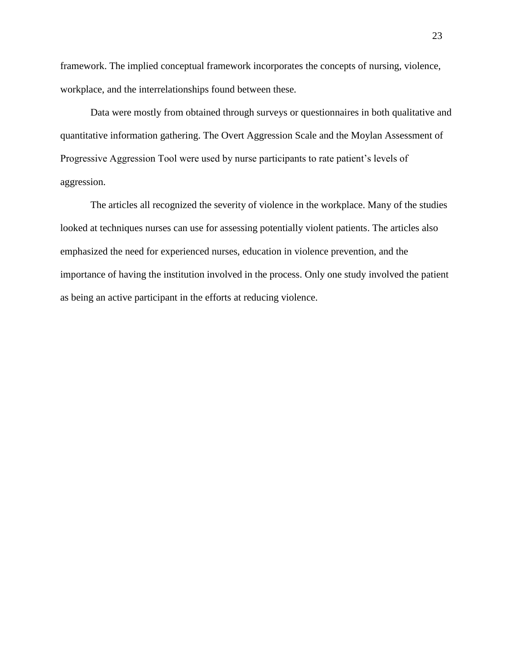framework. The implied conceptual framework incorporates the concepts of nursing, violence, workplace, and the interrelationships found between these.

Data were mostly from obtained through surveys or questionnaires in both qualitative and quantitative information gathering. The Overt Aggression Scale and the Moylan Assessment of Progressive Aggression Tool were used by nurse participants to rate patient's levels of aggression.

<span id="page-25-0"></span>The articles all recognized the severity of violence in the workplace. Many of the studies looked at techniques nurses can use for assessing potentially violent patients. The articles also emphasized the need for experienced nurses, education in violence prevention, and the importance of having the institution involved in the process. Only one study involved the patient as being an active participant in the efforts at reducing violence.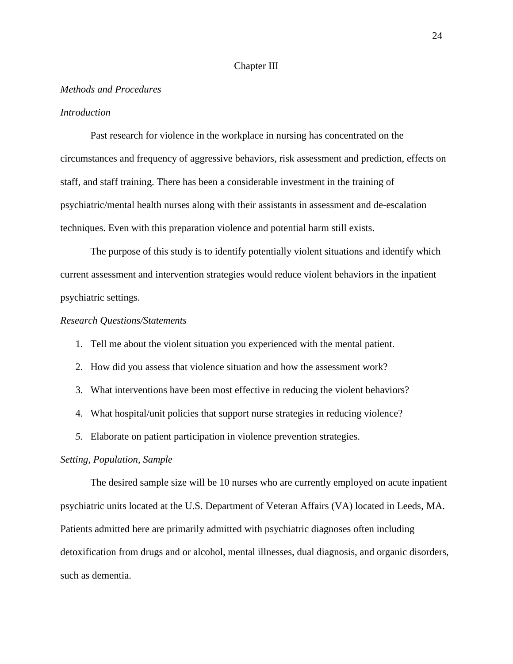#### Chapter III

#### <span id="page-26-0"></span>*Methods and Procedures*

### <span id="page-26-1"></span>*Introduction*

Past research for violence in the workplace in nursing has concentrated on the circumstances and frequency of aggressive behaviors, risk assessment and prediction, effects on staff, and staff training. There has been a considerable investment in the training of psychiatric/mental health nurses along with their assistants in assessment and de-escalation techniques. Even with this preparation violence and potential harm still exists.

The purpose of this study is to identify potentially violent situations and identify which current assessment and intervention strategies would reduce violent behaviors in the inpatient psychiatric settings.

#### <span id="page-26-2"></span>*Research Questions/Statements*

- 1. Tell me about the violent situation you experienced with the mental patient.
- 2. How did you assess that violence situation and how the assessment work?
- 3. What interventions have been most effective in reducing the violent behaviors?
- 4. What hospital/unit policies that support nurse strategies in reducing violence?
- *5.* Elaborate on patient participation in violence prevention strategies.

#### <span id="page-26-3"></span>*Setting, Population, Sample*

The desired sample size will be 10 nurses who are currently employed on acute inpatient psychiatric units located at the U.S. Department of Veteran Affairs (VA) located in Leeds, MA. Patients admitted here are primarily admitted with psychiatric diagnoses often including detoxification from drugs and or alcohol, mental illnesses, dual diagnosis, and organic disorders, such as dementia.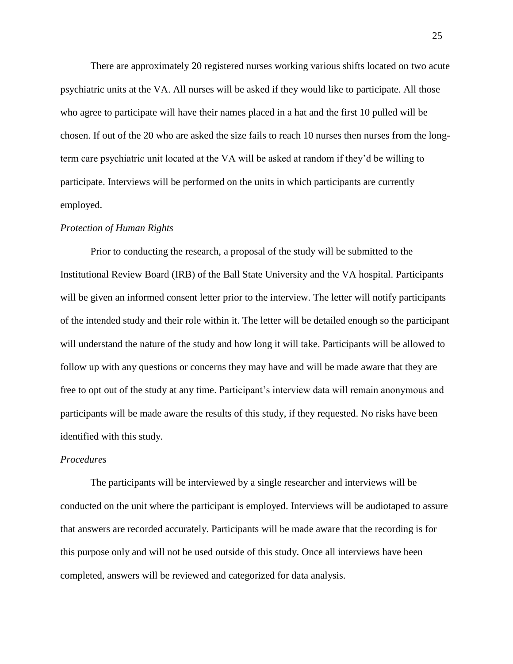There are approximately 20 registered nurses working various shifts located on two acute psychiatric units at the VA. All nurses will be asked if they would like to participate. All those who agree to participate will have their names placed in a hat and the first 10 pulled will be chosen. If out of the 20 who are asked the size fails to reach 10 nurses then nurses from the longterm care psychiatric unit located at the VA will be asked at random if they'd be willing to participate. Interviews will be performed on the units in which participants are currently employed.

#### <span id="page-27-0"></span>*Protection of Human Rights*

Prior to conducting the research, a proposal of the study will be submitted to the Institutional Review Board (IRB) of the Ball State University and the VA hospital. Participants will be given an informed consent letter prior to the interview. The letter will notify participants of the intended study and their role within it. The letter will be detailed enough so the participant will understand the nature of the study and how long it will take. Participants will be allowed to follow up with any questions or concerns they may have and will be made aware that they are free to opt out of the study at any time. Participant's interview data will remain anonymous and participants will be made aware the results of this study, if they requested. No risks have been identified with this study.

### <span id="page-27-1"></span>*Procedures*

The participants will be interviewed by a single researcher and interviews will be conducted on the unit where the participant is employed. Interviews will be audiotaped to assure that answers are recorded accurately. Participants will be made aware that the recording is for this purpose only and will not be used outside of this study. Once all interviews have been completed, answers will be reviewed and categorized for data analysis.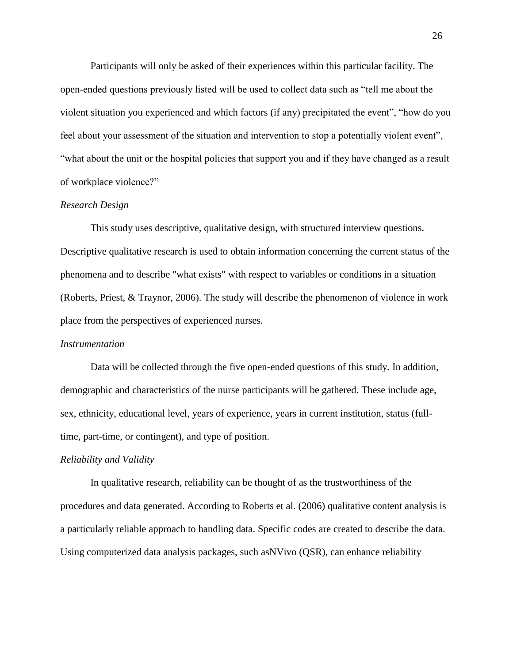Participants will only be asked of their experiences within this particular facility. The open-ended questions previously listed will be used to collect data such as "tell me about the violent situation you experienced and which factors (if any) precipitated the event", "how do you feel about your assessment of the situation and intervention to stop a potentially violent event", "what about the unit or the hospital policies that support you and if they have changed as a result of workplace violence?"

### <span id="page-28-0"></span>*Research Design*

This study uses descriptive, qualitative design, with structured interview questions. Descriptive qualitative research is used to obtain information concerning the current status of the phenomena and to describe "what exists" with respect to variables or conditions in a situation (Roberts, Priest, & Traynor, 2006). The study will describe the phenomenon of violence in work place from the perspectives of experienced nurses.

### <span id="page-28-1"></span>*Instrumentation*

Data will be collected through the five open-ended questions of this study. In addition, demographic and characteristics of the nurse participants will be gathered. These include age, sex, ethnicity, educational level, years of experience, years in current institution, status (fulltime, part-time, or contingent), and type of position.

### <span id="page-28-2"></span>*Reliability and Validity*

In qualitative research, reliability can be thought of as the trustworthiness of the procedures and data generated. According to Roberts et al. (2006) qualitative content analysis is a particularly reliable approach to handling data. Specific codes are created to describe the data. Using computerized data analysis packages, such asNVivo (QSR), can enhance reliability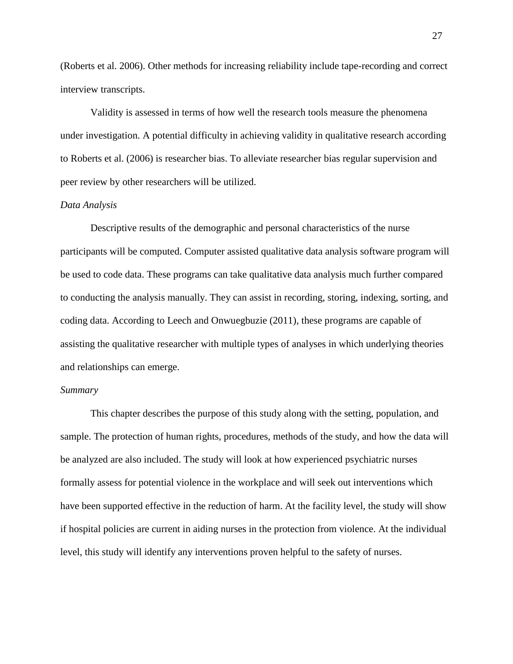(Roberts et al. 2006). Other methods for increasing reliability include tape-recording and correct interview transcripts.

Validity is assessed in terms of how well the research tools measure the phenomena under investigation. A potential difficulty in achieving validity in qualitative research according to Roberts et al. (2006) is researcher bias. To alleviate researcher bias regular supervision and peer review by other researchers will be utilized.

### <span id="page-29-0"></span>*Data Analysis*

Descriptive results of the demographic and personal characteristics of the nurse participants will be computed. Computer assisted qualitative data analysis software program will be used to code data. These programs can take qualitative data analysis much further compared to conducting the analysis manually. They can assist in recording, storing, indexing, sorting, and coding data. According to Leech and Onwuegbuzie (2011), these programs are capable of assisting the qualitative researcher with multiple types of analyses in which underlying theories and relationships can emerge.

#### <span id="page-29-1"></span>*Summary*

This chapter describes the purpose of this study along with the setting, population, and sample. The protection of human rights, procedures, methods of the study, and how the data will be analyzed are also included. The study will look at how experienced psychiatric nurses formally assess for potential violence in the workplace and will seek out interventions which have been supported effective in the reduction of harm. At the facility level, the study will show if hospital policies are current in aiding nurses in the protection from violence. At the individual level, this study will identify any interventions proven helpful to the safety of nurses.

27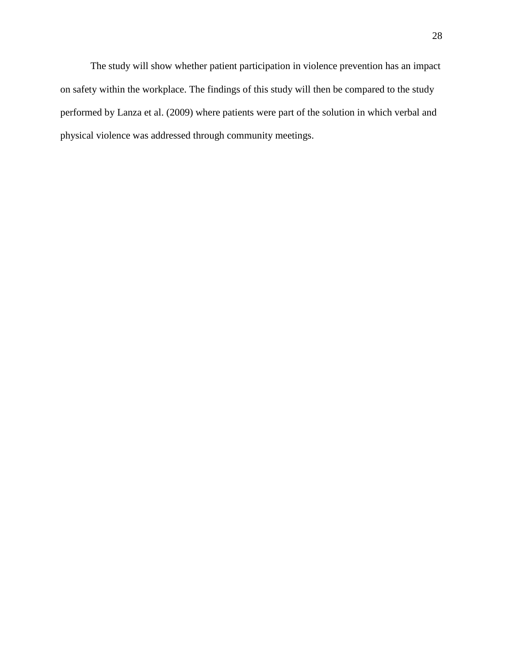The study will show whether patient participation in violence prevention has an impact on safety within the workplace. The findings of this study will then be compared to the study performed by Lanza et al. (2009) where patients were part of the solution in which verbal and physical violence was addressed through community meetings.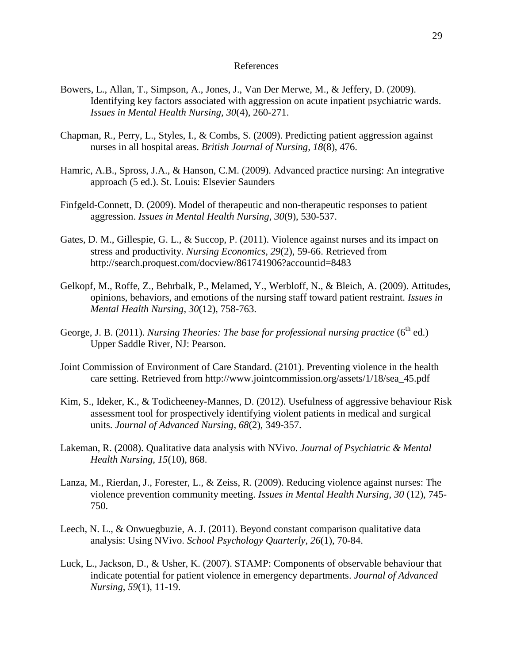#### References

- <span id="page-31-0"></span>Bowers, L., Allan, T., Simpson, A., Jones, J., Van Der Merwe, M., & Jeffery, D. (2009). Identifying key factors associated with aggression on acute inpatient psychiatric wards. *Issues in Mental Health Nursing, 30*(4), 260-271.
- Chapman, R., Perry, L., Styles, I., & Combs, S. (2009). Predicting patient aggression against nurses in all hospital areas. *British Journal of Nursing, 18*(8), 476.
- Hamric, A.B., Spross, J.A., & Hanson, C.M. (2009). Advanced practice nursing: An integrative approach (5 ed.). St. Louis: Elsevier Saunders
- Finfgeld-Connett, D. (2009). Model of therapeutic and non-therapeutic responses to patient aggression. *Issues in Mental Health Nursing*, *30*(9), 530-537.
- Gates, D. M., Gillespie, G. L., & Succop, P. (2011). Violence against nurses and its impact on stress and productivity. *Nursing Economics, 29*(2), 59-66. Retrieved from http://search.proquest.com/docview/861741906?accountid=8483
- Gelkopf, M., Roffe, Z., Behrbalk, P., Melamed, Y., Werbloff, N., & Bleich, A. (2009). Attitudes, opinions, behaviors, and emotions of the nursing staff toward patient restraint. *Issues in Mental Health Nursing*, *30*(12), 758-763.
- George, J. B. (2011). *Nursing Theories: The base for professional nursing practice* (6<sup>th</sup> ed.) Upper Saddle River, NJ: Pearson.
- Joint Commission of Environment of Care Standard. (2101). Preventing violence in the health care setting. Retrieved from http://www.jointcommission.org/assets/1/18/sea\_45.pdf
- Kim, S., Ideker, K., & Todicheeney-Mannes, D. (2012). Usefulness of aggressive behaviour Risk assessment tool for prospectively identifying violent patients in medical and surgical units. *Journal of Advanced Nursing*, *68*(2), 349-357.
- Lakeman, R. (2008). Qualitative data analysis with NVivo. *Journal of Psychiatric & Mental Health Nursing*, *15*(10), 868.
- Lanza, M., Rierdan, J., Forester, L., & Zeiss, R. (2009). Reducing violence against nurses: The violence prevention community meeting. *Issues in Mental Health Nursing*, *30* (12), 745- 750.
- Leech, N. L., & Onwuegbuzie, A. J. (2011). Beyond constant comparison qualitative data analysis: Using NVivo. *School Psychology Quarterly*, *26*(1), 70-84.
- Luck, L., Jackson, D., & Usher, K. (2007). STAMP: Components of observable behaviour that indicate potential for patient violence in emergency departments. *Journal of Advanced Nursing*, *59*(1), 11-19.